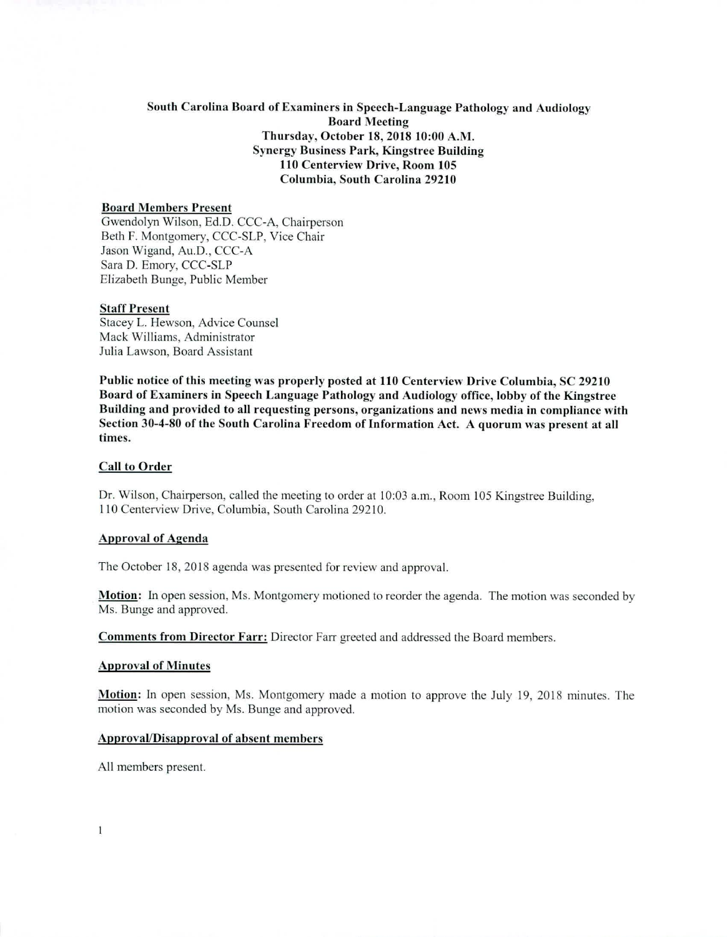# South Carolina Board of Examiners in Speech-Language Pathology and Audiology Board Meeting Thursday, October 18, 2018 10:00 A.M. Synergy Business Park, Kingstree Building 110 Centerview Drive, Room 105 Columbia, South Carolina 29210

## Board Members Present

Gwendolyn Wilson, Ed.D. CCC-A, Chairperson Beth F. Montgomery, CCC-SLP, Vice Chair Jason Wigand, Au.D., CCC-A Sara D. Emory, CCC-SLP Elizabeth Bunge, Public Member

## Staff Present

Stacey L. Hewson, Advice Counsel Mack Williams, Administrator Julia Lawson, Board Assistant

Public notice of this meeting was properly posted at 110 Centerview Drive Columbia, SC 29210 Board of Examiners in Speech Language Pathology and Audiology office, lobby of the Kingstree Building and provided to all requesting persons, organizations and news media in compliance with Section 30-4-80 of the South Carolina Freedom of Information Act. A quorum was present at all times.

## Call to Order

Dr. Wilson, Chairperson, called the meeting to order at 10:03 a.m., Room 105 Kingstree Building, 110 Centerview Drive, Columbia, South Carolina 29210.

#### Approval of Agenda

The October 18, 2018 agenda was presented for review and approval.

**Motion:** In open session, Ms. Montgomery motioned to reorder the agenda. The motion was seconded by Ms. Bunge and approved.

Comments from Director Farr: Director Farr greeted and addressed the Board members.

#### Approval of Minutes

Motion: In open session, Ms. Montgomery made a motion to approve the July 19, 2018 minutes. The motion was seconded by Ms. Bunge and approved.

# Approval/Disapproval of absent members

All members present.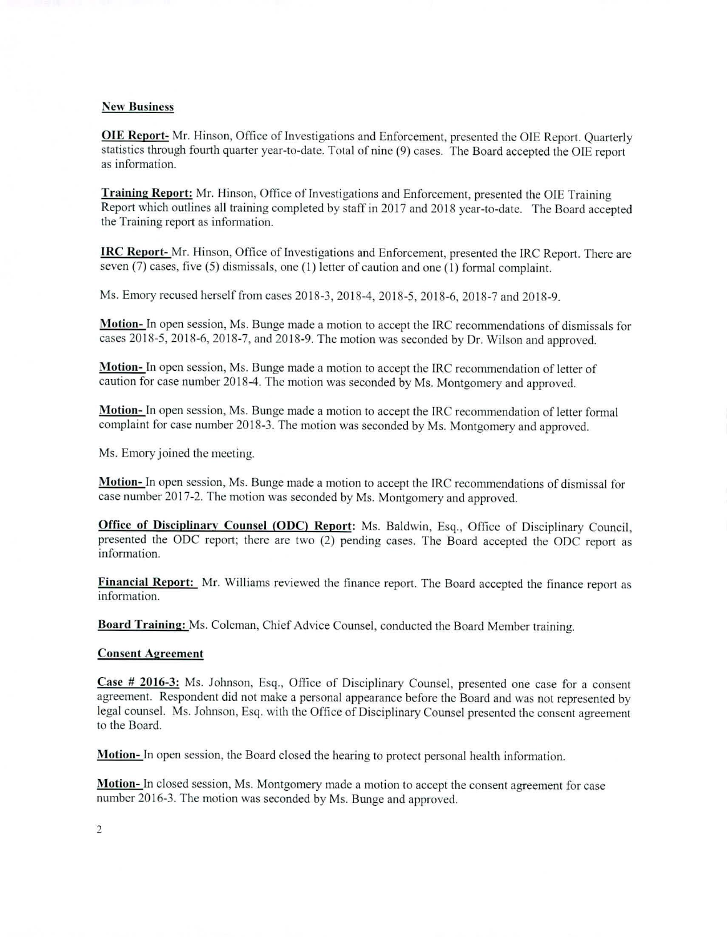# New **Business**

**OIE Report-** Mr. Hinson, Office of Investigations and Enforcement, presented the OIE Report. Quarterly statistics through fourth quarter year-to-date. Total of nine (9) cases. The Board accepted the OIE report as information.

**Training Report: Mr. Hinson, Office** of Investigations and Enforcement, presented the OIE Training Report which outlines all training completed by staff in 2017 and 2018 year-to-date. The Board accepted the Training report as information.

**IRC Report- Mr. Hinson, Office** of Investigations and Enforcement, presented the IRC Report. There are seven (7) cases, five (5) dismissals, **one (1) letter of caution and one (I)** formal complaint.

Ms. Emory recused herself from cases 2018-3, 2018-4, 2018-5, 2018-6, 2018-7 and 2018-9.

**Motion- In** open session, Ms. Bunge made a motion to accept the IRC recommendations of dismissals for cases 2018-5, 2018-6, 2018-7, and 2018-9. The motion was seconded by Dr. Wilson and approved.

**Motion- In** open session, Ms. Bunge made a motion to accept the IRC recommendation of letter of caution for case number 2018-4. The motion was seconded by Ms. Montgomery and approved.

**Motion- In** open session, Ms. Bunge made a motion to accept the IRC recommendation of letter formal complaint for case number 2018-3. The motion was seconded by Ms. Montgomery and approved.

Ms. Emory joined the meeting.

**Motion- In** open session, Ms. Bunge made a motion to accept the IRC recommendations of dismissal for case number 2017-2. The motion was seconded by Ms. Montgomery and approved.

**Office of Disciplinary Counsel (ODC) Report:** Ms. Baldwin, Esq., Office of Disciplinary Council, presented the ODC report; there are two (2) pending cases. The Board accepted the ODC report as information.

**Financial Report: Mr. Williams** reviewed the finance report. The Board accepted the finance report as information.

**Board Training:** Ms. Coleman, Chief Advice Counsel, conducted the Board Member training.

#### **Consent Agreement**

**Case # 2016-3:** Ms. Johnson, Esq., Office of Disciplinary Counsel, presented one case for a consent agreement. Respondent did not make a personal appearance before the Board and was not represented by legal counsel. Ms. Johnson, Esq. with the Office of Disciplinary Counsel presented the consent agreement to the Board.

**Motion-** In open session, the Board closed the hearing to protect personal health information.

**Motion- In** closed session, Ms. Montgomery made a motion to accept the consent agreement for case number 2016-3. The motion was seconded by Ms. Bunge and approved.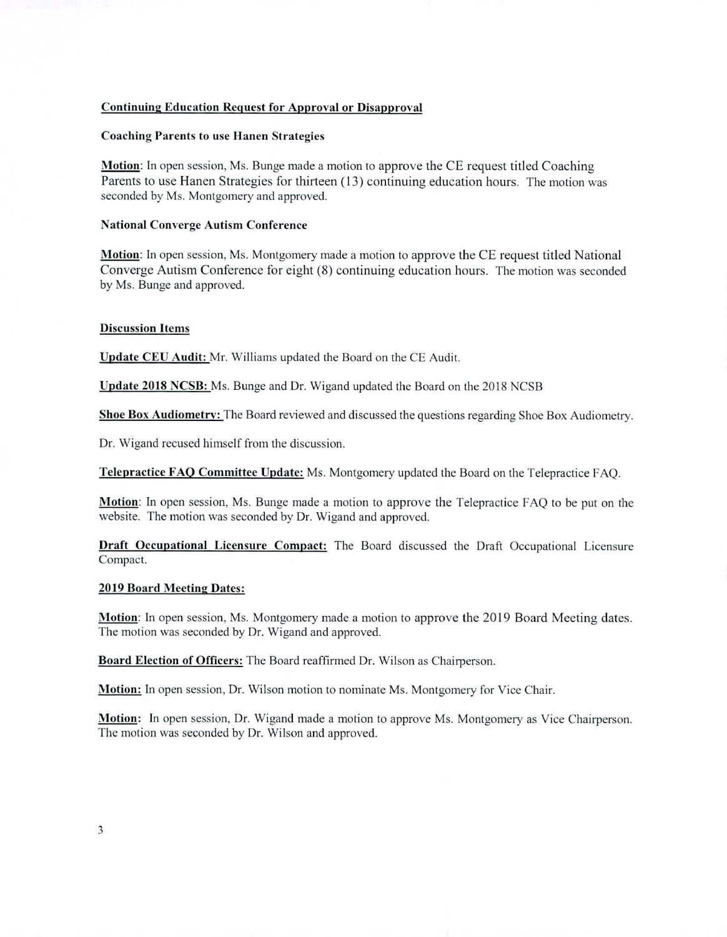# Continuing Education Request for Approval or Disapproval

## Coaching Parents to use Hanen Strategies

Motion: In open session, Ms. Bunge made a motion to approve the CE request titled Coaching Parents to use Hanen Strategies for thirteen (13) continuing education hours. The motion was seconded by Ms. Montgomery and approved.

# National Converge Autism Conference

Motion: In open session, Ms. Montgomery made a motion to approve the CE request titled National Converge Autism Conference for eight (8) continuing education hours. The motion was seconded by Ms. Bunge and approved.

#### Discussion Items

Update CEU Audit: Mr. Williams updated the Board on the CE Audit.

Update 2018 NCSB: Ms. Bunge and Dr. Wigand updated the Board on the 2018 NCSB

Shoe Box Audiometry: The Board reviewed and discussed the questions regarding Shoe Box Audiometry.

Dr. Wigand recused himself from the discussion.

Telepractice FAO **Committee Update:** Ms. Montgomery updated the Board on the Telepractice FAQ.

Motion: In open session, Ms. Bunge made a motion to approve the Telepractice FAQ to be put on the website. The motion was seconded by Dr. Wigand and approved.

**Draft Occupational Licensure Compact:** The Board discussed the Draft Occupational Licensure Compact.

# **2019 Board Meeting Dates:**

**Motion:** In open session, Ms. Montgomery made a motion to approve the 2019 Board Meeting dates. The motion was seconded by Dr. Wigand and approved.

Board **Election of Officers:** The Board reaffirmed Dr. Wilson as Chairperson.

Motion: In open session, Dr. Wilson motion to nominate Ms. Montgomery for Vice Chair.

**Motion:** In open session, Dr. Wigand made a motion to approve Ms. Montgomery as Vice Chairperson. The motion was seconded by Dr. Wilson and approved.